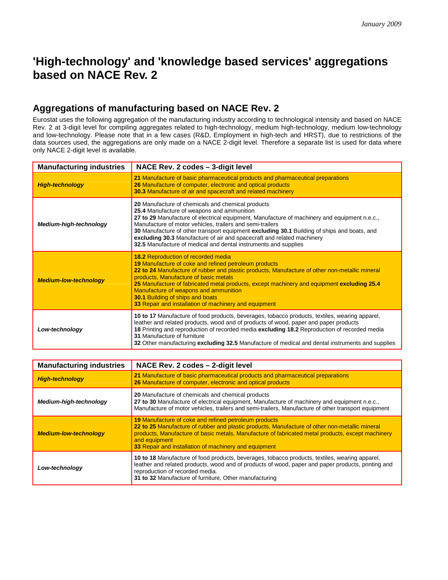## **'High-technology' and 'knowledge based services' aggregations based on NACE Rev. 2**

## **Aggregations of manufacturing based on NACE Rev. 2**

Eurostat uses the following aggregation of the manufacturing industry according to technological intensity and based on NACE Rev. 2 at 3-digit level for compiling aggregates related to high-technology, medium high-technology, medium low-technology and low-technology. Please note that in a few cases (R&D, Employment in high-tech and HRST), due to restrictions of the data sources used, the aggregations are only made on a NACE 2-digit level. Therefore a separate list is used for data where only NACE 2-digit level is available.

| <b>Manufacturing industries</b> | NACE Rev. 2 codes - 3-digit level                                                                                                                                                                                                                                                                                                                                                                                                                                                                        |
|---------------------------------|----------------------------------------------------------------------------------------------------------------------------------------------------------------------------------------------------------------------------------------------------------------------------------------------------------------------------------------------------------------------------------------------------------------------------------------------------------------------------------------------------------|
| <b>High-technology</b>          | 21 Manufacture of basic pharmaceutical products and pharmaceutical preparations<br>26 Manufacture of computer, electronic and optical products<br>30.3 Manufacture of air and spacecraft and related machinery                                                                                                                                                                                                                                                                                           |
| Medium-high-technology          | 20 Manufacture of chemicals and chemical products<br>25.4 Manufacture of weapons and ammunition<br>27 to 29 Manufacture of electrical equipment, Manufacture of machinery and equipment n.e.c.,<br>Manufacture of motor vehicles, trailers and semi-trailers<br>30 Manufacture of other transport equipment excluding 30.1 Building of ships and boats, and<br>excluding 30.3 Manufacture of air and spacecraft and related machinery<br>32.5 Manufacture of medical and dental instruments and supplies |
| <b>Medium-low-technology</b>    | 18.2 Reproduction of recorded media<br>19 Manufacture of coke and refined petroleum products<br>22 to 24 Manufacture of rubber and plastic products, Manufacture of other non-metallic mineral<br>products, Manufacture of basic metals<br>25 Manufacture of fabricated metal products, except machinery and equipment excluding 25.4<br>Manufacture of weapons and ammunition<br><b>30.1 Building of ships and boats</b><br>33 Repair and installation of machinery and equipment                       |
| Low-technology                  | 10 to 17 Manufacture of food products, beverages, tobacco products, textiles, wearing apparel,<br>leather and related products, wood and of products of wood, paper and paper products<br>18 Printing and reproduction of recorded media excluding 18.2 Reproduction of recorded media<br>31 Manufacture of furniture<br>32 Other manufacturing excluding 32.5 Manufacture of medical and dental instruments and supplies                                                                                |

| <b>Manufacturing industries</b> | NACE Rev. 2 codes - 2-digit level                                                                                                                                                                                                                                                                                                             |
|---------------------------------|-----------------------------------------------------------------------------------------------------------------------------------------------------------------------------------------------------------------------------------------------------------------------------------------------------------------------------------------------|
| <b>High-technology</b>          | 21 Manufacture of basic pharmaceutical products and pharmaceutical preparations<br>26 Manufacture of computer, electronic and optical products                                                                                                                                                                                                |
| Medium-high-technology          | 20 Manufacture of chemicals and chemical products<br>27 to 30 Manufacture of electrical equipment, Manufacture of machinery and equipment n.e.c.,<br>Manufacture of motor vehicles, trailers and semi-trailers, Manufacture of other transport equipment                                                                                      |
| <b>Medium-low-technology</b>    | <b>19 Manufacture of coke and refined petroleum products</b><br>22 to 25 Manufacture of rubber and plastic products, Manufacture of other non-metallic mineral<br>products, Manufacture of basic metals, Manufacture of fabricated metal products, except machinery<br>and equipment<br>33 Repair and installation of machinery and equipment |
| Low-technology                  | 10 to 18 Manufacture of food products, beverages, tobacco products, textiles, wearing apparel,<br>leather and related products, wood and of products of wood, paper and paper products, printing and<br>reproduction of recorded media.<br>31 to 32 Manufacture of furniture, Other manufacturing                                             |